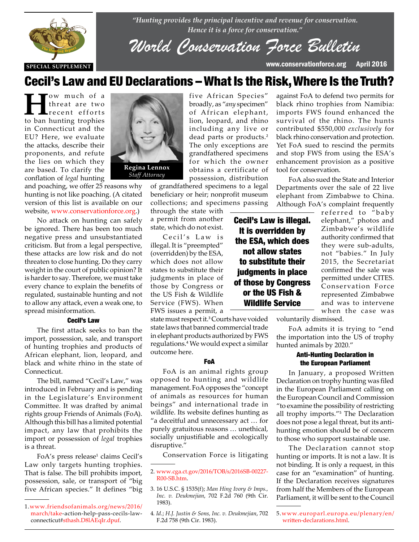

*"Hunting provides the principal incentive and revenue for conservation. Hence it is a force for conservation."*

*World Conservation Force Bulletin*

**SPECIAL SUPPLEMENT** www.conservationforce.org April 2016

# Cecil's Law and EU Declarations –What Is the Risk,Where Is the Truth?

five African Species" broadly, as "*any* specimen" of African elephant, lion, leopard, and rhino including any live or dead parts or products.<sup>2</sup> The only exceptions are grandfathered specimens for which the owner obtains a certificate of possession, distribution

**H**ow much of a<br>threat are two<br>to ban bunting trophies threat are two to ban hunting trophies in Connecticut and the EU? Here, we evaluate the attacks, describe their proponents, and refute the lies on which they are based. To clarify the conflation of *legal* hunting

and poaching, we offer 25 reasons why hunting is not like poaching. (A citated version of this list is available on our website, www.conservationforce.org.)

website, www.conservationforce.org.)<br>No attack on hunting can safely be ignored. There has been too much negative press and unsubstantiated criticism. But from a legal perspective,<br>these attacks are low risk and do not these attacks are low risk and do not threaten to close hunting. Do they carry weight in the court of public opinion? It is harder to say. Therefore, we must take every chance to explain the benefits of regulated, sustainable hunting and not to allow any attack, even a weak one, to spread misinformation.

#### Cecil's Law

The first attack seeks to ban the import, possession, sale, and transport of hunting trophies and products of African elephant, lion, leopard, and black and white rhino in the state of Connecticut.

The bill, named "Cecil's Law," was introduced in February and is pending in the Legislature's Environment Committee. It was drafted by animal rights group Friends of Animals (FoA). Although this bill has a limited potential impact, any law that prohibits the import or possession of *legal* trophies is a threat.

FoA's press release<sup>1</sup> claims Cecil's Law only targets hunting trophies. That is false. The bill prohibits import, possession, sale, or transport of "big five African species." It defines "big



*Staff Attorney*

of grandfathered specimens to a legal beneficiary or heir; nonprofit museum collections; and specimens passing

through the state with a permit from another state, which do not exist.

Cecil's Law is illegal. It is "preempted" (overridden) by the ESA, which does not allow states to substitute their judgments in place of those by Congress or the US Fish & Wildlife Service (FWS). When FWS issues a permit, a

state must respect it.<sup>3</sup> Courts have voided state laws that banned commercial trade in elephant products authorized by FWS regulations.<sup>4</sup> We would expect a similar outcome here.

#### FoA

FoA is an animal rights group opposed to hunting and wildlife management. FoA opposes the "concept of animals as resources for human beings" and international trade in wildlife. Its website defines hunting as "a deceitful and unnecessary act … for purely gratuitous reasons … unethical, socially unjustifiable and ecologically disruptive."

Conservation Force is litigating

against FoA to defend two permits for black rhino trophies from Namibia: imports FWS found enhanced the survival of the rhino. The hunts contributed \$550,000 *exclusively* for black rhino conservation and protection. Yet FoA sued to rescind the permits and stop FWS from using the ESA's enhancement provision as a positive tool for conservation.

FoA also sued the State and Interior Departments over the sale of 22 live elephant from Zimbabwe to China. Although FoA's complaint frequently

Cecil's Law is illegal. It is overridden by the ESA, which does not allow states to substitute their judgments in place of those by Congress or the US Fish & Wildlife Service

referred to "baby elephant," photos and Zimbabwe's wildlife authority confirmed that they were sub-adults, not "babies." In July 2015, the Secretariat confirmed the sale was permitted under CITES. Conservation Force represented Zimbabwe and was to intervene when the case was

voluntarily dismissed.

FoA admits it is trying to "end the importation into the US of trophy hunted animals by 2020."

#### Anti-Hunting Declaration in the European Parliament

In January, a proposed Written Declaration on trophy hunting was filed in the European Parliament calling on the European Council and Commission "to examine the possibility of restricting all trophy imports."<sup>5</sup> The Declaration does not pose a legal threat, but its antihunting emotion should be of concern to those who support sustainable use.

The Declaration cannot stop hunting or imports. It is not a law. It is not binding. It is only a request, in this case for an "examination" of hunting. If the Declaration receives signatures from half the Members of the European Parliament, it will be sent to the Council

5.www.europarl.europa.eu/plenary/en/ written-declarations.html.

<sup>1.</sup>www.friendsofanimals.org/news/2016/ march/take-action-help-pass-cecils-lawconnecticut#sthash.D8lAEqIr.dpuf.

<sup>2.</sup> www.cga.ct.gov/2016/TOB/s/2016SB-00227- R00-SB.htm.

<sup>3.</sup> 16 U.S.C. § 1535(f); *Man Hing Ivory & Imps., Inc. v. Deukmejian*, 702 F.2d 760 (9th Cir. 1983).

<sup>4</sup>*. Id.*; *H.J. Justin & Sons, Inc. v. Deukmejian*, 702 F.2d 758 (9th Cir. 1983).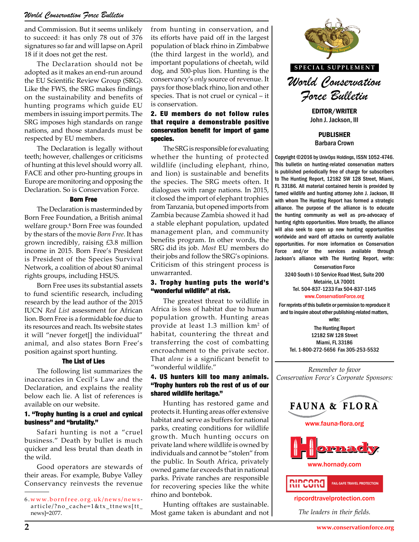and Commission. But it seems unlikely to succeed: it has only 78 out of 376 signatures so far and will lapse on April 18 if it does not get the rest.

The Declaration should not be adopted as it makes an end-run around the EU Scientific Review Group (SRG). Like the FWS, the SRG makes findings on the sustainability and benefits of hunting programs which guide EU members in issuing import permits. The SRG imposes high standards on range nations, and those standards must be respected by EU members.

The Declaration is legally without teeth; however, challenges or criticisms of hunting at this level should worry all. FACE and other pro-hunting groups in Europe are monitoring and opposing the Declaration. So is Conservation Force.

#### Born Free

The Declaration is masterminded by Born Free Foundation, a British animal welfare group.<sup>6</sup> Born Free was founded by the stars of the movie *Born Free*. It has grown incredibly, raising £3.8 million income in 2015. Born Free's President is President of the Species Survival Network, a coalition of about 80 animal rights groups, including HSUS.

Born Free uses its substantial assets to fund scientific research, including research by the lead author of the 2015 IUCN *Red List* assessment for African lion. Born Free is a formidable foe due to its resources and reach. Its website states it will "never forget[] the individual" animal, and also states Born Free's position against sport hunting.

#### The List of Lies

The following list summarizes the inaccuracies in Cecil's Law and the Declaration, and explains the reality below each lie. A list of references is available on our website.

### 1. "Trophy hunting is a cruel and cynical business" and "brutality."

Safari hunting is not a "cruel business." Death by bullet is much quicker and less brutal than death in the wild.

Good operators are stewards of their areas. For example, Bubye Valley Conservancy reinvests the revenue

from hunting in conservation, and its efforts have paid off in the largest population of black rhino in Zimbabwe (the third largest in the world), and important populations of cheetah, wild dog, and 500-plus lion. Hunting is the conservancy's *only* source of revenue. It pays for those black rhino, lion and other species. That is not cruel or cynical – it is conservation.

# 2. EU members do not follow rules that require a demonstrable positive conservation benefit for import of game species.

The SRG is responsible for evaluating whether the hunting of protected wildlife (including elephant, rhino, and lion) is sustainable and benefits the species. The SRG meets often. It dialogues with range nations. In 2015, it closed the import of elephant trophies from Tanzania, but opened imports from Zambia because Zambia showed it had a stable elephant population, updated management plan, and community benefits program. In other words, the SRG did its job. *Most* EU members do their jobs and follow the SRG's opinions. Criticism of this stringent process is unwarranted.

## 3. Trophy hunting puts the world's "wonderful wildlife" at risk.

The greatest threat to wildlife in Africa is loss of habitat due to human population growth. Hunting areas provide at least 1.3 million km2 of habitat, countering the threat and transferring the cost of combatting encroachment to the private sector. That *alone* is a significant benefit to "wonderful wildlife."

## 4. US hunters kill too many animals. "Trophy hunters rob the rest of us of our shared wildlife heritage."

Hunting has restored game and protects it. Hunting areas offer extensive habitat and serve as buffers for national parks, creating conditions for wildlife growth. Much hunting occurs on private land where wildlife is owned by individuals and cannot be "stolen" from the public. In South Africa, privately owned game far exceeds that in national parks. Private ranches are responsible for recovering species like the white rhino and bontebok.

Hunting offtakes are sustainable. Most game taken is abundant and not



EDITOR/WRITER John J. Jackson, III

PUBLISHER Barbara Crown

Copyright ©2016 by UnivOps Holdings, ISSN 1052-4746. This bulletin on hunting-related conservation matters is published periodically free of charge for subscribers to The Hunting Report, 12182 SW 128 Street, Miami, FL 33186. All material contained herein is provided by famed wildlife and hunting attorney John J. Jackson, III with whom The Hunting Report has formed a strategic alliance. The purpose of the alliance is to educate mports from alliance. The purpose of the alliance is to educate<br>owed it had the hunting community as well as pro-advocacy of hunting rights opportunities. More broadly, the alliance will also seek to open up new hunting opportunities worldwide and ward off attacks on currently available words, the **worldwide and ward off attacks on currently available**<br>nembers do **opportunities**. For more information on Conservation Force and/or the services available through Jackson's alliance with The Hunting Report, write:

> Conservation Force 3240 South I-10 Service Road West, Suite 200 Metairie, LA 70001 Tel. 504-837-1233 Fax 504-837-1145 www.ConservationForce.org

For reprints of this bulletin or permission to reproduce it and to inquire about other publishing-related matters, write:

The Hunting Report 12182 SW 128 Street Miami, FL 33186 Tel. 1-800-272-5656 Fax 305-253-5532

*Remember to favor Conservation Force's Corporate Sponsors:*







ripcordtravelprotection.com

*The leaders in their fields.*

<sup>6 .</sup>www.bornfree.org.uk/news/news article/?no\_cache=1&tx\_ttnews[tt\_ news]=2077.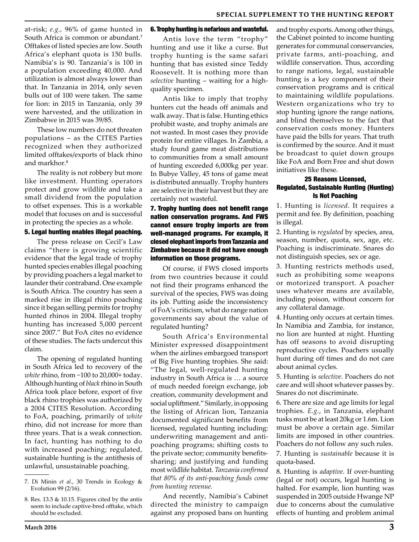at-risk; *e.g.,* 96% of game hunted in South Africa is common or abundant.<sup>7</sup> Offtakes of listed species are low. South Africa's elephant quota is 150 bulls. Namibia's is 90. Tanzania's is 100 in a population exceeding 40,000. And utilization is almost always lower than that. In Tanzania in 2014, only seven bulls out of 100 were taken. The same for lion: in 2015 in Tanzania, only 39 were harvested, and the utilization in Zimbabwe in 2015 was 39/85.

These low numbers do not threaten populations – as the CITES Parties recognized when they authorized limited offtakes/exports of black rhino and markhor.<sup>8</sup>

The reality is not robbery but more like investment. Hunting operators protect and grow wildlife and take a small dividend from the population to offset expenses. This is a workable model that focuses on and is successful in protecting the species as a whole.

# 5. Legal hunting enables illegal poaching.

The press release on Cecil's Law claims "there is growing scientific evidence that the legal trade of trophy hunted species enables illegal poaching by providing poachers a legal market to launder their contraband. One example is South Africa. The country has seen a marked rise in illegal rhino poaching since it began selling permits for trophy hunted rhinos in 2004. Illegal trophy hunting has increased 5,000 percent since 2007." But FoA cites no evidence of these studies. The facts undercut this claim.

The opening of regulated hunting in South Africa led to recovery of the *white* rhino, from ~100 to 20,000+ today. Although hunting of *black* rhino in South Africa took place before, export of five black rhino trophies was authorized by a 2004 CITES Resolution. According to FoA, poaching, primarily of *white*  rhino, did not increase for more than three years. That is a weak connection. In fact, hunting has nothing to do with increased poaching; regulated, sustainable hunting is the antithesis of unlawful, unsustainable poaching.

#### 6. Trophy hunting is nefarious and wasteful.

Antis love the term "trophy" hunting and use it like a curse. But trophy hunting is the same safari hunting that has existed since Teddy Roosevelt. It is nothing more than *selective* hunting – waiting for a highquality specimen.

Antis like to imply that trophy hunters cut the heads off animals and walk away. That is false. Hunting ethics prohibit waste, and trophy animals are not wasted. In most cases they provide protein for entire villages. In Zambia, a study found game meat distributions to communities from a small amount of hunting exceeded 6,000kg per year. In Bubye Valley, 45 tons of game meat is distributed annually. Trophy hunters are selective in their harvest but they are certainly not wasteful.

# 7. Trophy hunting does not benefit range nation conservation programs. And FWS cannot ensure trophy imports are from well-managed programs. For example, it closed elephant imports from Tanzania and Zimbabwe because it did not have enough information on those programs.

Of course, if FWS closed imports from two countries because it could not find their programs enhanced the survival of the species, FWS was doing its job. Putting aside the inconsistency of FoA's criticism, what do range nation governments say about the value of regulated hunting?

South Africa's Environmental Minister expressed disappointment when the airlines embargoed transport of Big Five hunting trophies. She said: "The legal, well-regulated hunting industry in South Africa is … a source of much needed foreign exchange, job creation, community development and social upliftment." Similarly, in opposing the listing of African lion, Tanzania documented significant benefits from licensed, regulated hunting including: underwriting management and antipoaching programs; shifting costs to the private sector; community benefitssharing; and justifying and funding most wildlife habitat. *Tanzania confirmed that 80% of its anti-poaching funds come from hunting revenue.*

And recently, Namibia's Cabinet directed the ministry to campaign against any proposed bans on hunting and trophy exports. Among other things, the Cabinet pointed to income hunting generates for communal conservancies, private farms, anti-poaching, and wildlife conservation. Thus, according to range nations, legal, sustainable hunting is a key component of their conservation programs and is critical to maintaining wildlife populations. Western organizations who try to stop hunting ignore the range nations, and blind themselves to the fact that conservation costs money. Hunters have paid the bills for years. That truth is confirmed by the source. And it must be broadcast to quiet down groups like FoA and Born Free and shut down initiatives like these.

### 25 Reasons Licensed, Regulated, Sustainable Hunting (Hunting) Is Not Poaching

1. Hunting is *licensed*. It requires a permit and fee. By definition, poaching is illegal.

2. Hunting is *regulated* by species, area, season, number, quota, sex, age, etc. Poaching is indiscriminate. Snares do not distinguish species, sex or age.

3. Hunting restricts methods used, such as prohibiting some weapons or motorized transport. A poacher uses whatever means are available, including poison, without concern for any collateral damage.

4. Hunting only occurs at certain times. In Namibia and Zambia, for instance, no lion are hunted at night. Hunting has off seasons to avoid disrupting reproductive cycles. Poachers usually hunt during off times and do not care about animal cycles.

5. Hunting is *selective*. Poachers do not care and will shoot whatever passes by. Snares do not discriminate.

6. There are size and age limits for legal trophies. *E.g.*, in Tanzania, elephant tusks must be at least 20kg or 1.6m. Lion must be above a certain age. Similar limits are imposed in other countries. Poachers do not follow any such rules.

7. Hunting is *sustainable* because it is quota-based.

8. Hunting is *adaptive*. If over-hunting (legal or not) occurs, legal hunting is halted. For example, lion hunting was suspended in 2005 outside Hwange NP due to concerns about the cumulative effects of hunting and problem animal

<sup>7.</sup> Di Minin *et al.*, 30 Trends in Ecology & Evolution 99 (2/16).

<sup>8.</sup> Res. 13.5 & 10.15. Figures cited by the antis seem to include captive-bred offtake, which should be excluded.